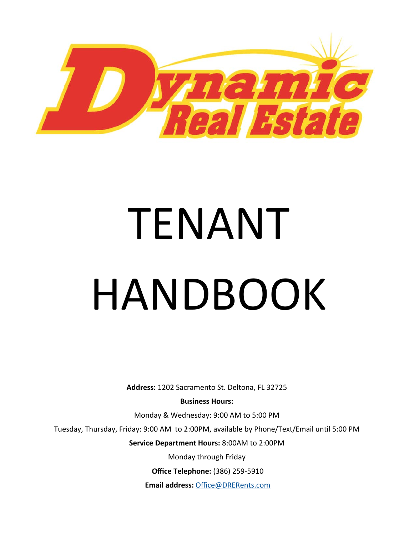

# TENANT HANDBOOK

**Address:** 1202 Sacramento St. Deltona, FL 32725

**Business Hours:** 

Monday & Wednesday: 9:00 AM to 5:00 PM

Tuesday, Thursday, Friday: 9:00 AM to 2:00PM, available by Phone/Text/Email until 5:00 PM

**Service Department Hours:** 8:00AM to 2:00PM

Monday through Friday

**Office Telephone:** (386) 259‐5910

**Email address:** Office@DRERents.com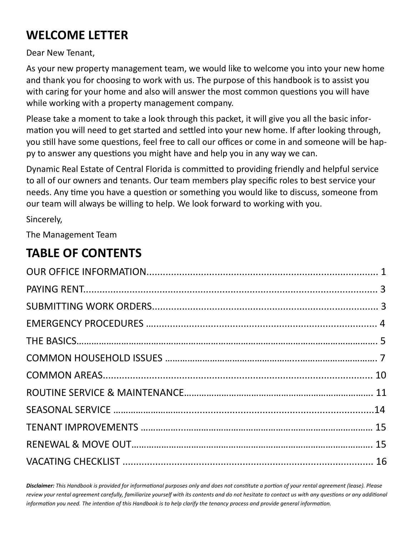# **WELCOME LETTER**

Dear New Tenant,

As your new property management team, we would like to welcome you into your new home and thank you for choosing to work with us. The purpose of this handbook is to assist you with caring for your home and also will answer the most common questions you will have while working with a property management company.

Please take a moment to take a look through this packet, it will give you all the basic infor‐ mation you will need to get started and settled into your new home. If after looking through, you still have some questions, feel free to call our offices or come in and someone will be happy to answer any questions you might have and help you in any way we can.

Dynamic Real Estate of Central Florida is committed to providing friendly and helpful service to all of our owners and tenants. Our team members play specific roles to best service your needs. Any time you have a question or something you would like to discuss, someone from our team will always be willing to help. We look forward to working with you.

Sincerely,

The Management Team

# **TABLE OF CONTENTS**

Disclaimer: This Handbook is provided for informational purposes only and does not constitute a portion of your rental agreement (lease). Please review your rental agreement carefully, familiarize yourself with its contents and do not hesitate to contact us with any questions or any additional *information you need. The intention of this Handbook is to help clarify the tenancy process and provide general information.*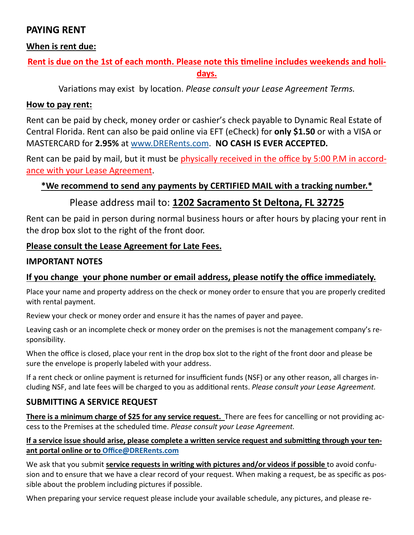# **PAYING RENT**

## **When is rent due:**

# Rent is due on the 1st of each month. Please note this timeline includes weekends and holi**days.**

Variations may exist by location. *Please consult your Lease Agreement Terms.* 

## **How to pay rent:**

Rent can be paid by check, money order or cashier's check payable to Dynamic Real Estate of Central Florida. Rent can also be paid online via EFT (eCheck) for **only \$1.50** or with a VISA or MASTERCARD for **2.95%** at www.DRERents.com. **NO CASH IS EVER ACCEPTED.** 

Rent can be paid by mail, but it must be physically received in the office by 5:00 P.M in accordance with your Lease Agreement.

## **\*We recommend to send any payments by CERTIFIED MAIL with a tracking number.\***

## Please address mail to: **1202 Sacramento St Deltona, FL 32725**

Rent can be paid in person during normal business hours or after hours by placing your rent in the drop box slot to the right of the front door.

#### **Please consult the Lease Agreement for Late Fees.**

#### **IMPORTANT NOTES**

## **If you change your phone number or email address, please noƟfy the office immediately.**

Place your name and property address on the check or money order to ensure that you are properly credited with rental payment.

Review your check or money order and ensure it has the names of payer and payee.

Leaving cash or an incomplete check or money order on the premises is not the management company's re‐ sponsibility.

When the office is closed, place your rent in the drop box slot to the right of the front door and please be sure the envelope is properly labeled with your address.

If a rent check or online payment is returned for insufficient funds (NSF) or any other reason, all charges in‐ cluding NSF, and late fees will be charged to you as additional rents. *Please consult your Lease Agreement.* 

## **SUBMITTING A SERVICE REQUEST**

**There is a minimum charge of \$25 for any service request.** There are fees for cancelling or not providing ac‐ cess to the Premises at the scheduled time. *Please consult your Lease Agreement*.

#### If a service issue should arise, please complete a written service request and submitting through your ten**ant portal online or to Office@DRERents.com**

We ask that you submit **service requests in writing with pictures and/or videos if possible** to avoid confusion and to ensure that we have a clear record of your request. When making a request, be as specific as possible about the problem including pictures if possible.

When preparing your service request please include your available schedule, any pictures, and please re-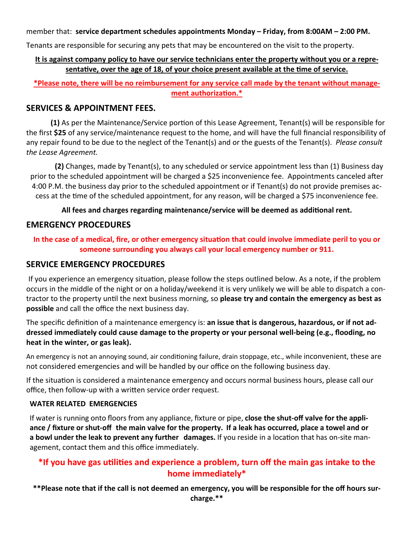member that: **service department schedules appointments Monday – Friday, from 8:00AM – 2:00 PM.** 

Tenants are responsible for securing any pets that may be encountered on the visit to the property.

#### **It is against company policy to have our service technicians enter the property without you or a repre**sentative, over the age of 18, of your choice present available at the time of service.

**\*Please note, there will be no reimbursement for any service call made by the tenant without management authorizaƟon.\*** 

#### **SERVICES & APPOINTMENT FEES.**

**(1)** As per the Maintenance/Service portion of this Lease Agreement, Tenant(s) will be responsible for the first **\$25** of any service/maintenance request to the home, and will have the full financial responsibility of any repair found to be due to the neglect of the Tenant(s) and or the guests of the Tenant(s). *Please consult the Lease Agreement.*

**(2)** Changes, made by Tenant(s), to any scheduled or service appointment less than (1) Business day prior to the scheduled appointment will be charged a \$25 inconvenience fee. Appointments canceled after 4:00 P.M. the business day prior to the scheduled appointment or if Tenant(s) do not provide premises ac‐ cess at the Ɵme of the scheduled appointment, for any reason, will be charged a \$75 inconvenience fee.

#### All fees and charges regarding maintenance/service will be deemed as additional rent.

#### **EMERGENCY PROCEDURES**

#### In the case of a medical, fire, or other emergency situation that could involve immediate peril to you or **someone surrounding you always call your local emergency number or 911.**

#### **SERVICE EMERGENCY PROCEDURES**

If you experience an emergency situation, please follow the steps outlined below. As a note, if the problem occurs in the middle of the night or on a holiday/weekend it is very unlikely we will be able to dispatch a con‐ tractor to the property unƟl the next business morning, so **please try and contain the emergency as best as possible** and call the office the next business day.

The specific definition of a maintenance emergency is: an issue that is dangerous, hazardous, or if not ad**dressed immediately could cause damage to the property or your personal well-being (e.g., flooding, no heat in the winter, or gas leak).** 

An emergency is not an annoying sound, air conditioning failure, drain stoppage, etc., while inconvenient, these are not considered emergencies and will be handled by our office on the following business day.

If the situation is considered a maintenance emergency and occurs normal business hours, please call our office, then follow-up with a written service order request.

#### **WATER RELATED EMERGENCIES**

If water is running onto floors from any appliance, fixture or pipe, **close the shut-off valve for the appliance / fixture or shut-off the main valve for the property. If a leak has occurred, place a towel and or a bowl under the leak to prevent any further damages.** If you reside in a location that has on-site management, contact them and this office immediately.

## **\*If you have gas uƟliƟes and experience a problem, turn off the main gas intake to the home immediately\***

**\*\*Please note that if the call is not deemed an emergency, you will be responsible for the off hours sur-**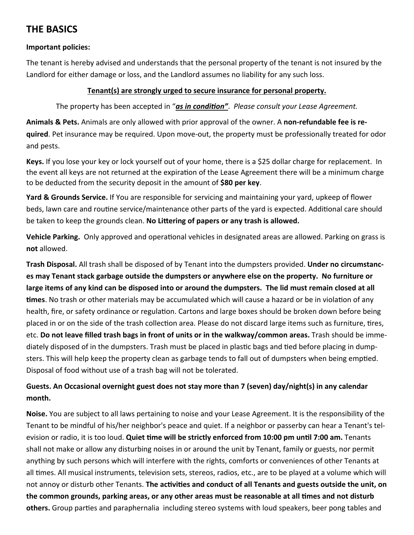# **THE BASICS**

#### **Important policies:**

The tenant is hereby advised and understands that the personal property of the tenant is not insured by the Landlord for either damage or loss, and the Landlord assumes no liability for any such loss.

#### **Tenant(s) are strongly urged to secure insurance for personal property.**

The property has been accepted in "as in condition". *Please consult your Lease Agreement.* 

**Animals & Pets.** Animals are only allowed with prior approval of the owner. A **non-refundable fee is required**. Pet insurance may be required. Upon move-out, the property must be professionally treated for odor and pests.

**Keys.** If you lose your key or lock yourself out of your home, there is a \$25 dollar charge for replacement. In the event all keys are not returned at the expiration of the Lease Agreement there will be a minimum charge to be deducted from the security deposit in the amount of **\$80 per key**.

**Yard & Grounds Service.** If You are responsible for servicing and maintaining your yard, upkeep of flower beds, lawn care and routine service/maintenance other parts of the yard is expected. Additional care should be taken to keep the grounds clean. **No Littering of papers or any trash is allowed.** 

**Vehicle Parking.** Only approved and operational vehicles in designated areas are allowed. Parking on grass is **not** allowed.

**Trash Disposal.** All trash shall be disposed of by Tenant into the dumpsters provided. **Under no circumstances may Tenant stack garbage outside the dumpsters or anywhere else on the property. No furniture or large items of any kind can be disposed into or around the dumpsters. The lid must remain closed at all times**. No trash or other materials may be accumulated which will cause a hazard or be in violation of any health, fire, or safety ordinance or regulation. Cartons and large boxes should be broken down before being placed in or on the side of the trash collection area. Please do not discard large items such as furniture, tires, etc. **Do not leave filled trash bags in front of units or in the walkway/common areas.** Trash should be imme‐ diately disposed of in the dumpsters. Trash must be placed in plastic bags and tied before placing in dumpsters. This will help keep the property clean as garbage tends to fall out of dumpsters when being emptied. Disposal of food without use of a trash bag will not be tolerated.

#### **Guests. An Occasional overnight guest does not stay more than 7 (seven) day/night(s) in any calendar month.**

**Noise.** You are subject to all laws pertaining to noise and your Lease Agreement. It is the responsibility of the Tenant to be mindful of his/her neighbor's peace and quiet. If a neighbor or passerby can hear a Tenant's tel‐ evision or radio, it is too loud. **Quiet time will be strictly enforced from 10:00 pm until 7:00 am.** Tenants shall not make or allow any disturbing noises in or around the unit by Tenant, family or guests, nor permit anything by such persons which will interfere with the rights, comforts or conveniences of other Tenants at all times. All musical instruments, television sets, stereos, radios, etc., are to be played at a volume which will not annoy or disturb other Tenants. **The activities and conduct of all Tenants and guests outside the unit, on the common grounds, parking areas, or any other areas must be reasonable at all Ɵmes and not disturb**  others. Group parties and paraphernalia including stereo systems with loud speakers, beer pong tables and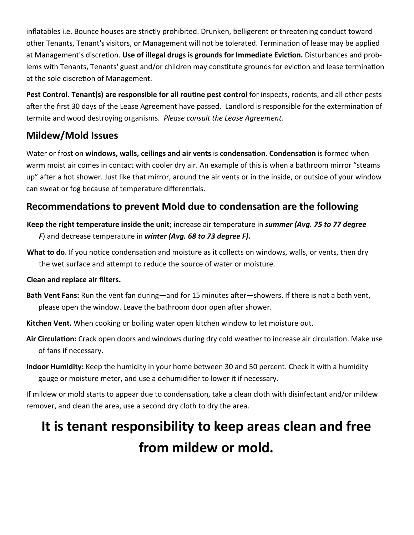inflatables i.e. Bounce houses are strictly prohibited. Drunken, belligerent or threatening conduct toward other Tenants, Tenant's visitors, or Management will not be tolerated. Termination of lease may be applied at Management's discretion. Use of illegal drugs is grounds for Immediate Eviction. Disturbances and problems with Tenants, Tenants' guest and/or children may constitute grounds for eviction and lease termination at the sole discretion of Management.

**Pest Control. Tenant(s) are responsible for all routine pest control** for inspects, rodents, and all other pests after the first 30 days of the Lease Agreement have passed. Landlord is responsible for the extermination of termite and wood destroying organisms. *Please consult the Lease Agreement.* 

# **Mildew/Mold Issues**

Water or frost on **windows, walls, ceilings and air vents** is **condensaƟon**. **CondensaƟon** is formed when warm moist air comes in contact with cooler dry air. An example of this is when a bathroom mirror "steams up" after a hot shower. Just like that mirror, around the air vents or in the inside, or outside of your window can sweat or fog because of temperature differentials.

# **Recommendations to prevent Mold due to condensation are the following**

- **Keep the right temperature inside the unit**; increase air temperature in *summer (Avg. 75 to 77 degree F*) and decrease temperature in *winter (Avg. 68 to 73 degree F).*
- What to do. If you notice condensation and moisture as it collects on windows, walls, or vents, then dry the wet surface and attempt to reduce the source of water or moisture.

#### **Clean and replace air filters.**

- **Bath Vent Fans:** Run the vent fan during—and for 15 minutes after—showers. If there is not a bath vent, please open the window. Leave the bathroom door open after shower.
- **Kitchen Vent.** When cooking or boiling water open kitchen window to let moisture out.
- Air Circulation: Crack open doors and windows during dry cold weather to increase air circulation. Make use of fans if necessary.
- **Indoor Humidity:** Keep the humidity in your home between 30 and 50 percent. Check it with a humidity gauge or moisture meter, and use a dehumidifier to lower it if necessary.

If mildew or mold starts to appear due to condensation, take a clean cloth with disinfectant and/or mildew remover, and clean the area, use a second dry cloth to dry the area.

# **It is tenant responsibility to keep areas clean and free from mildew or mold.**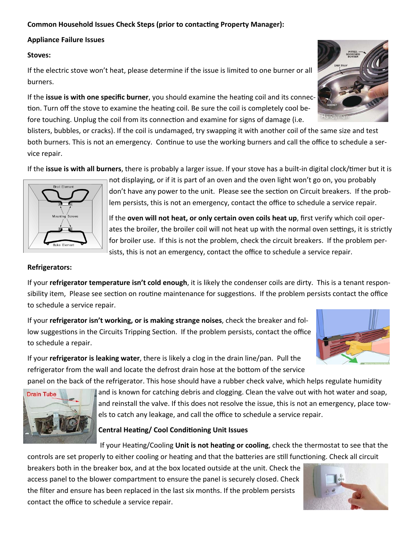#### **Common Household Issues Check Steps (prior to contacting Property Manager):**

#### **Appliance Failure Issues**

#### **Stoves:**

If the electric stove won't heat, please determine if the issue is limited to one burner or all burners.

If the **issue is with one specific burner**, you should examine the heating coil and its connection. Turn off the stove to examine the heating coil. Be sure the coil is completely cool before touching. Unplug the coil from its connection and examine for signs of damage (i.e.

blisters, bubbles, or cracks). If the coil is undamaged, try swapping it with another coil of the same size and test both burners. This is not an emergency. Continue to use the working burners and call the office to schedule a service repair.

If the **issue is with all burners**, there is probably a larger issue. If your stove has a built-in digital clock/timer but it is



not displaying, or if it is part of an oven and the oven light won't go on, you probably don't have any power to the unit. Please see the section on Circuit breakers. If the problem persists, this is not an emergency, contact the office to schedule a service repair.

If the **oven will not heat, or only certain oven coils heat up**, first verify which coil oper‐ ates the broiler, the broiler coil will not heat up with the normal oven settings, it is strictly for broiler use. If this is not the problem, check the circuit breakers. If the problem per‐ sists, this is not an emergency, contact the office to schedule a service repair.

#### **Refrigerators:**

**Drain Tube** 

If your **refrigerator temperature isn't cold enough**, it is likely the condenser coils are dirty. This is a tenant respon‐ sibility item, Please see section on routine maintenance for suggestions. If the problem persists contact the office to schedule a service repair.

If your **refrigerator isn't working, or is making strange noises**, check the breaker and fol‐ low suggestions in the Circuits Tripping Section. If the problem persists, contact the office to schedule a repair.



If your **refrigerator is leaking water**, there is likely a clog in the drain line/pan. Pull the refrigerator from the wall and locate the defrost drain hose at the bottom of the service

panel on the back of the refrigerator. This hose should have a rubber check valve, which helps regulate humidity and is known for catching debris and clogging. Clean the valve out with hot water and soap,

and reinstall the valve. If this does not resolve the issue, this is not an emergency, place towels to catch any leakage, and call the office to schedule a service repair.

#### **Central Heating/ Cool Conditioning Unit Issues**

If your Heating/Cooling **Unit is not heating or cooling**, check the thermostat to see that the controls are set properly to either cooling or heating and that the batteries are still functioning. Check all circuit

breakers both in the breaker box, and at the box located outside at the unit. Check the access panel to the blower compartment to ensure the panel is securely closed. Check the filter and ensure has been replaced in the last six months. If the problem persists contact the office to schedule a service repair.



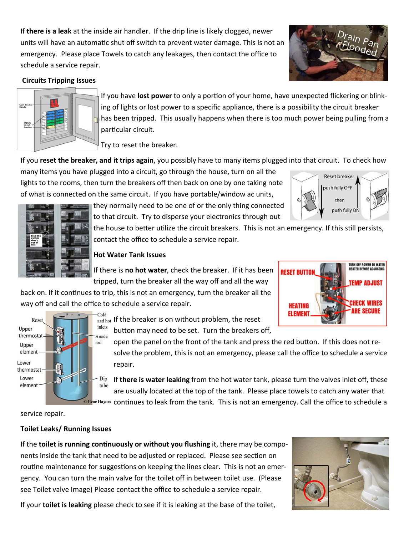If **there is a leak** at the inside air handler. If the drip line is likely clogged, newer units will have an automatic shut off switch to prevent water damage. This is not an emergency. Please place Towels to catch any leakages, then contact the office to schedule a service repair.



**Reset breaker** push fully OFF then push fully ON

#### **Circuits Tripping Issues**



If you have lost power to only a portion of your home, have unexpected flickering or blinking of lights or lost power to a specific appliance, there is a possibility the circuit breaker has been tripped. This usually happens when there is too much power being pulling from a particular circuit.

Try to reset the breaker.

If you **reset the breaker, and it trips again**, you possibly have to many items plugged into that circuit. To check how

many items you have plugged into a circuit, go through the house, turn on all the lights to the rooms, then turn the breakers off then back on one by one taking note of what is connected on the same circuit. If you have portable/window ac units,

> they normally need to be one of or the only thing connected to that circuit. Try to disperse your electronics through out

the house to better utilize the circuit breakers. This is not an emergency. If this still persists, contact the office to schedule a service repair.

#### **Hot Water Tank Issues**

If there is **no hot water**, check the breaker. If it has been tripped, turn the breaker all the way off and all the way

back on. If it continues to trip, this is not an emergency, turn the breaker all the way off and call the office to schedule a service repair.





and hot If the breaker is on without problem, the reset button may need to be set. Turn the breakers off,

open the panel on the front of the tank and press the red button. If this does not resolve the problem, this is not an emergency, please call the office to schedule a service repair.

If **there is water leaking** from the hot water tank, please turn the valves inlet off, these are usually located at the top of the tank. Please place towels to catch any water that

o Gene Haynes continues to leak from the tank. This is not an emergency. Call the office to schedule a

service repair.

#### **Toilet Leaks/ Running Issues**

If the **toilet is running continuously or without you flushing** it, there may be components inside the tank that need to be adjusted or replaced. Please see section on routine maintenance for suggestions on keeping the lines clear. This is not an emergency. You can turn the main valve for the toilet off in between toilet use. (Please see Toilet valve Image) Please contact the office to schedule a service repair.



If your **toilet is leaking** please check to see if it is leaking at the base of the toilet,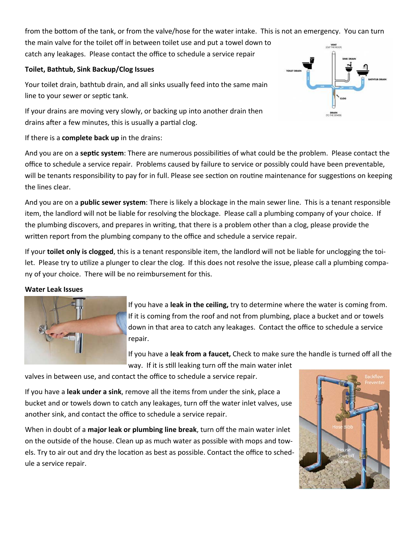from the bottom of the tank, or from the valve/hose for the water intake. This is not an emergency. You can turn the main valve for the toilet off in between toilet use and put a towel down to catch any leakages. Please contact the office to schedule a service repair

#### **Toilet, Bathtub, Sink Backup/Clog Issues**

Your toilet drain, bathtub drain, and all sinks usually feed into the same main line to your sewer or septic tank.

If your drains are moving very slowly, or backing up into another drain then drains after a few minutes, this is usually a partial clog.

If there is a **complete back up** in the drains:

And you are on a **septic system**: There are numerous possibilities of what could be the problem. Please contact the office to schedule a service repair. Problems caused by failure to service or possibly could have been preventable, will be tenants responsibility to pay for in full. Please see section on routine maintenance for suggestions on keeping the lines clear.

And you are on a **public sewer system**: There is likely a blockage in the main sewer line. This is a tenant responsible item, the landlord will not be liable for resolving the blockage. Please call a plumbing company of your choice. If the plumbing discovers, and prepares in writing, that there is a problem other than a clog, please provide the written report from the plumbing company to the office and schedule a service repair.

If your **toilet only is clogged**, this is a tenant responsible item, the landlord will not be liable for unclogging the toi‐ let. Please try to utilize a plunger to clear the clog. If this does not resolve the issue, please call a plumbing company of your choice. There will be no reimbursement for this.

#### **Water Leak Issues**



If you have a **leak in the ceiling,** try to determine where the water is coming from. If it is coming from the roof and not from plumbing, place a bucket and or towels down in that area to catch any leakages. Contact the office to schedule a service repair.

If you have a **leak from a faucet,** Check to make sure the handle is turned off all the way. If it is still leaking turn off the main water inlet

valves in between use, and contact the office to schedule a service repair.

If you have a **leak under a sink**, remove all the items from under the sink, place a bucket and or towels down to catch any leakages, turn off the water inlet valves, use another sink, and contact the office to schedule a service repair.

When in doubt of a **major leak or plumbing line break**, turn off the main water inlet on the outside of the house. Clean up as much water as possible with mops and tow‐ els. Try to air out and dry the location as best as possible. Contact the office to schedule a service repair.



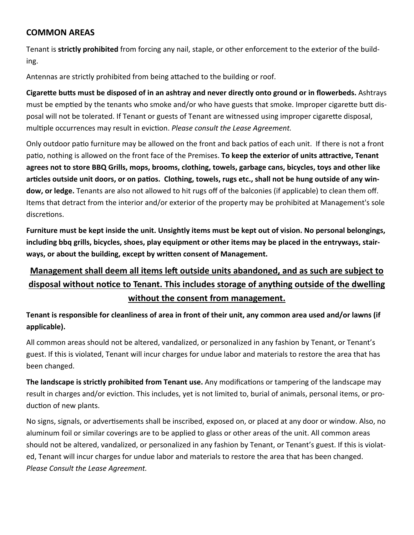## **COMMON AREAS**

Tenant is **strictly prohibited** from forcing any nail, staple, or other enforcement to the exterior of the build‐ ing.

Antennas are strictly prohibited from being attached to the building or roof.

**CigareƩe buƩs must be disposed of in an ashtray and never directly onto ground or in flowerbeds.** Ashtrays must be emptied by the tenants who smoke and/or who have guests that smoke. Improper cigarette butt disposal will not be tolerated. If Tenant or guests of Tenant are witnessed using improper cigarette disposal, multiple occurrences may result in eviction. *Please consult the Lease Agreement.* 

Only outdoor patio furniture may be allowed on the front and back patios of each unit. If there is not a front patio, nothing is allowed on the front face of the Premises. To keep the exterior of units attractive, Tenant **agrees not to store BBQ Grills, mops, brooms, clothing, towels, garbage cans, bicycles, toys and other like**  articles outside unit doors, or on patios. Clothing, towels, rugs etc., shall not be hung outside of any win**dow, or ledge.** Tenants are also not allowed to hit rugs off of the balconies (if applicable) to clean them off. Items that detract from the interior and/or exterior of the property may be prohibited at Management's sole discretions.

**Furniture must be kept inside the unit. Unsightly items must be kept out of vision. No personal belongings, including bbq grills, bicycles, shoes, play equipment or other items may be placed in the entryways, stairways, or about the building, except by wriƩen consent of Management.** 

# **Management shall deem all items left outside units abandoned, and as such are subject to disposal without noƟce to Tenant. This includes storage of anything outside of the dwelling without the consent from management.**

**Tenant is responsible for cleanliness of area in front of their unit, any common area used and/or lawns (if applicable).** 

All common areas should not be altered, vandalized, or personalized in any fashion by Tenant, or Tenant's guest. If this is violated, Tenant will incur charges for undue labor and materials to restore the area that has been changed.

**The landscape is strictly prohibited from Tenant use.** Any modifications or tampering of the landscape may result in charges and/or eviction. This includes, yet is not limited to, burial of animals, personal items, or production of new plants.

No signs, signals, or advertisements shall be inscribed, exposed on, or placed at any door or window. Also, no aluminum foil or similar coverings are to be applied to glass or other areas of the unit. All common areas should not be altered, vandalized, or personalized in any fashion by Tenant, or Tenant's guest. If this is violat‐ ed, Tenant will incur charges for undue labor and materials to restore the area that has been changed. *Please Consult the Lease Agreement.*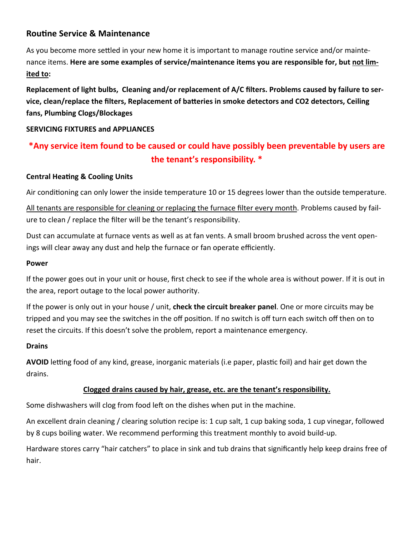## **Routine Service & Maintenance**

As you become more settled in your new home it is important to manage routine service and/or maintenance items. **Here are some examples of service/maintenance items you are responsible for, but not limited to:** 

**Replacement of light bulbs, Cleaning and/or replacement of A/C filters. Problems caused by failure to ser**vice, clean/replace the filters, Replacement of batteries in smoke detectors and CO2 detectors, Ceiling **fans, Plumbing Clogs/Blockages** 

#### **SERVICING FIXTURES and APPLIANCES**

# **\*Any service item found to be caused or could have possibly been preventable by users are the tenant's responsibility. \***

#### **Central Heating & Cooling Units**

Air conditioning can only lower the inside temperature 10 or 15 degrees lower than the outside temperature.

All tenants are responsible for cleaning or replacing the furnace filter every month. Problems caused by failure to clean / replace the filter will be the tenant's responsibility.

Dust can accumulate at furnace vents as well as at fan vents. A small broom brushed across the vent open‐ ings will clear away any dust and help the furnace or fan operate efficiently.

#### **Power**

If the power goes out in your unit or house, first check to see if the whole area is without power. If it is out in the area, report outage to the local power authority.

If the power is only out in your house / unit, **check the circuit breaker panel**. One or more circuits may be tripped and you may see the switches in the off position. If no switch is off turn each switch off then on to reset the circuits. If this doesn't solve the problem, report a maintenance emergency.

#### **Drains**

**AVOID** letting food of any kind, grease, inorganic materials (i.e paper, plastic foil) and hair get down the drains.

#### **Clogged drains caused by hair, grease, etc. are the tenant's responsibility.**

Some dishwashers will clog from food left on the dishes when put in the machine.

An excellent drain cleaning / clearing solution recipe is: 1 cup salt, 1 cup baking soda, 1 cup vinegar, followed by 8 cups boiling water. We recommend performing this treatment monthly to avoid build-up.

Hardware stores carry "hair catchers" to place in sink and tub drains that significantly help keep drains free of hair.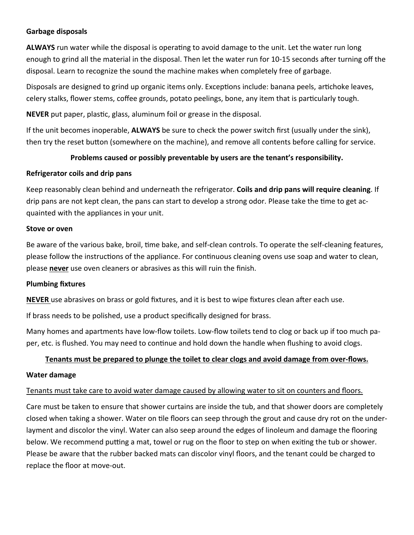#### **Garbage disposals**

**ALWAYS** run water while the disposal is operating to avoid damage to the unit. Let the water run long enough to grind all the material in the disposal. Then let the water run for 10-15 seconds after turning off the disposal. Learn to recognize the sound the machine makes when completely free of garbage.

Disposals are designed to grind up organic items only. Exceptions include: banana peels, artichoke leaves, celery stalks, flower stems, coffee grounds, potato peelings, bone, any item that is particularly tough.

**NEVER** put paper, plastic, glass, aluminum foil or grease in the disposal.

If the unit becomes inoperable, **ALWAYS** be sure to check the power switch first (usually under the sink), then try the reset button (somewhere on the machine), and remove all contents before calling for service.

#### **Problems caused or possibly preventable by users are the tenant's responsibility.**

#### **Refrigerator coils and drip pans**

Keep reasonably clean behind and underneath the refrigerator. **Coils and drip pans will require cleaning**. If drip pans are not kept clean, the pans can start to develop a strong odor. Please take the time to get acquainted with the appliances in your unit.

#### **Stove or oven**

Be aware of the various bake, broil, time bake, and self-clean controls. To operate the self-cleaning features, please follow the instructions of the appliance. For continuous cleaning ovens use soap and water to clean, please **never** use oven cleaners or abrasives as this will ruin the finish.

#### **Plumbing fixtures**

**NEVER** use abrasives on brass or gold fixtures, and it is best to wipe fixtures clean after each use.

If brass needs to be polished, use a product specifically designed for brass.

Many homes and apartments have low‐flow toilets. Low‐flow toilets tend to clog or back up if too much pa‐ per, etc. is flushed. You may need to continue and hold down the handle when flushing to avoid clogs.

#### **Tenants must be prepared to plunge the toilet to clear clogs and avoid damage from over-flows.**

#### **Water damage**

#### Tenants must take care to avoid water damage caused by allowing water to sit on counters and floors.

Care must be taken to ensure that shower curtains are inside the tub, and that shower doors are completely closed when taking a shower. Water on tile floors can seep through the grout and cause dry rot on the underlayment and discolor the vinyl. Water can also seep around the edges of linoleum and damage the flooring below. We recommend putting a mat, towel or rug on the floor to step on when exiting the tub or shower. Please be aware that the rubber backed mats can discolor vinyl floors, and the tenant could be charged to replace the floor at move‐out.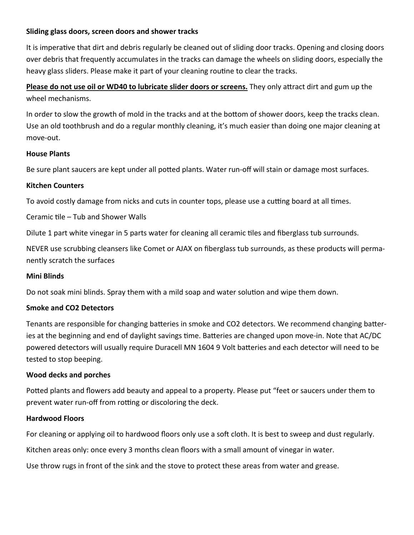#### **Sliding glass doors, screen doors and shower tracks**

It is imperative that dirt and debris regularly be cleaned out of sliding door tracks. Opening and closing doors over debris that frequently accumulates in the tracks can damage the wheels on sliding doors, especially the heavy glass sliders. Please make it part of your cleaning routine to clear the tracks.

## **Please do not use oil or WD40 to lubricate slider doors or screens.** They only attract dirt and gum up the wheel mechanisms.

In order to slow the growth of mold in the tracks and at the bottom of shower doors, keep the tracks clean. Use an old toothbrush and do a regular monthly cleaning, it's much easier than doing one major cleaning at move‐out.

#### **House Plants**

Be sure plant saucers are kept under all potted plants. Water run-off will stain or damage most surfaces.

#### **Kitchen Counters**

To avoid costly damage from nicks and cuts in counter tops, please use a cutting board at all times.

Ceramic tile – Tub and Shower Walls

Dilute 1 part white vinegar in 5 parts water for cleaning all ceramic tiles and fiberglass tub surrounds.

NEVER use scrubbing cleansers like Comet or AJAX on fiberglass tub surrounds, as these products will perma‐ nently scratch the surfaces

#### **Mini Blinds**

Do not soak mini blinds. Spray them with a mild soap and water solution and wipe them down.

#### **Smoke and CO2 Detectors**

Tenants are responsible for changing batteries in smoke and CO2 detectors. We recommend changing batteries at the beginning and end of daylight savings time. Batteries are changed upon move-in. Note that AC/DC powered detectors will usually require Duracell MN 1604 9 Volt batteries and each detector will need to be tested to stop beeping.

#### **Wood decks and porches**

Potted plants and flowers add beauty and appeal to a property. Please put "feet or saucers under them to prevent water run-off from rotting or discoloring the deck.

#### **Hardwood Floors**

For cleaning or applying oil to hardwood floors only use a soft cloth. It is best to sweep and dust regularly.

Kitchen areas only: once every 3 months clean floors with a small amount of vinegar in water.

Use throw rugs in front of the sink and the stove to protect these areas from water and grease.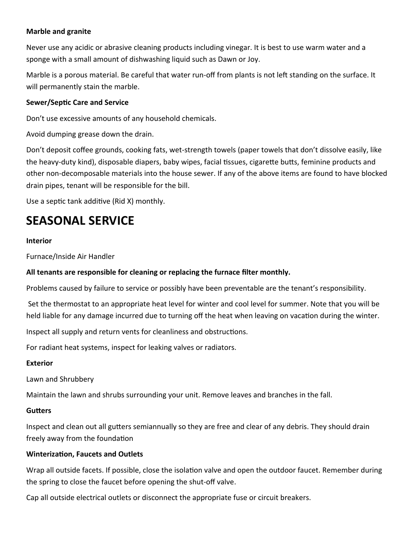#### **Marble and granite**

Never use any acidic or abrasive cleaning products including vinegar. It is best to use warm water and a sponge with a small amount of dishwashing liquid such as Dawn or Joy.

Marble is a porous material. Be careful that water run-off from plants is not left standing on the surface. It will permanently stain the marble.

#### **Sewer/SepƟc Care and Service**

Don't use excessive amounts of any household chemicals.

Avoid dumping grease down the drain.

Don't deposit coffee grounds, cooking fats, wet-strength towels (paper towels that don't dissolve easily, like the heavy-duty kind), disposable diapers, baby wipes, facial tissues, cigarette butts, feminine products and other non‐decomposable materials into the house sewer. If any of the above items are found to have blocked drain pipes, tenant will be responsible for the bill.

Use a septic tank additive (Rid X) monthly.

# **SEASONAL SERVICE**

#### **Interior**

Furnace/Inside Air Handler

#### **All tenants are responsible for cleaning or replacing the furnace filter monthly.**

Problems caused by failure to service or possibly have been preventable are the tenant's responsibility.

 Set the thermostat to an appropriate heat level for winter and cool level for summer. Note that you will be held liable for any damage incurred due to turning off the heat when leaving on vacation during the winter.

Inspect all supply and return vents for cleanliness and obstructions.

For radiant heat systems, inspect for leaking valves or radiators.

#### **Exterior**

Lawn and Shrubbery

Maintain the lawn and shrubs surrounding your unit. Remove leaves and branches in the fall.

#### **GuƩers**

Inspect and clean out all gutters semiannually so they are free and clear of any debris. They should drain freely away from the foundation

#### **Winterization, Faucets and Outlets**

Wrap all outside facets. If possible, close the isolation valve and open the outdoor faucet. Remember during the spring to close the faucet before opening the shut‐off valve.

Cap all outside electrical outlets or disconnect the appropriate fuse or circuit breakers.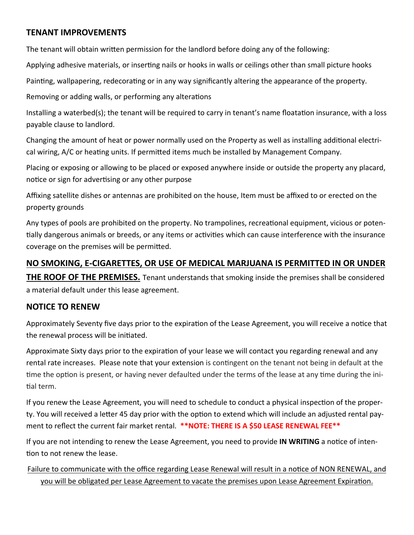## **TENANT IMPROVEMENTS**

The tenant will obtain written permission for the landlord before doing any of the following:

Applying adhesive materials, or inserting nails or hooks in walls or ceilings other than small picture hooks

Painting, wallpapering, redecorating or in any way significantly altering the appearance of the property.

Removing or adding walls, or performing any alterations

Installing a waterbed(s); the tenant will be required to carry in tenant's name floatation insurance, with a loss payable clause to landlord.

Changing the amount of heat or power normally used on the Property as well as installing additional electrical wiring, A/C or heating units. If permitted items much be installed by Management Company.

Placing or exposing or allowing to be placed or exposed anywhere inside or outside the property any placard, notice or sign for advertising or any other purpose

Affixing satellite dishes or antennas are prohibited on the house, Item must be affixed to or erected on the property grounds

Any types of pools are prohibited on the property. No trampolines, recreational equipment, vicious or potentially dangerous animals or breeds, or any items or activities which can cause interference with the insurance coverage on the premises will be permitted.

## **NO SMOKING, E-CIGARETTES, OR USE OF MEDICAL MARJUANA IS PERMITTED IN OR UNDER**

**THE ROOF OF THE PREMISES.** Tenant understands that smoking inside the premises shall be considered a material default under this lease agreement.

#### **NOTICE TO RENEW**

Approximately Seventy five days prior to the expiration of the Lease Agreement, you will receive a notice that the renewal process will be initiated.

Approximate Sixty days prior to the expiration of your lease we will contact you regarding renewal and any rental rate increases. Please note that your extension is contingent on the tenant not being in default at the time the option is present, or having never defaulted under the terms of the lease at any time during the initial term.

If you renew the Lease Agreement, you will need to schedule to conduct a physical inspection of the property. You will received a letter 45 day prior with the option to extend which will include an adjusted rental payment to reflect the current fair market rental. **\*\*NOTE: THERE IS A \$50 LEASE RENEWAL FEE\*\***

If you are not intending to renew the Lease Agreement, you need to provide IN WRITING a notice of intention to not renew the lease.

Failure to communicate with the office regarding Lease Renewal will result in a notice of NON RENEWAL, and you will be obligated per Lease Agreement to vacate the premises upon Lease Agreement Expiration.